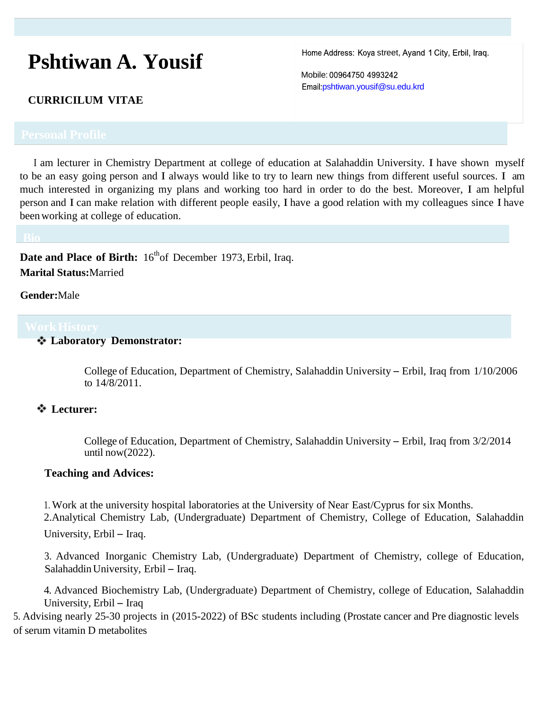# **Pshtiwan A. Yousif**

Home Address: Koya street, Ayand 1 City, Erbil, Iraq.

Mobile: 00964750 4993242 pshtiwan.yousif@su.edu.krd

### **CURRICILUM VITAE**

<sup>I</sup> am lecturer in Chemistry Department at college of education at Salahaddin University. I have shown myself to be an easy going person and I always would like to try to learn new things from different useful sources. I am much interested in organizing my plans and working too hard in order to do the best. Moreover, I am helpful person and I can make relation with different people easily, I have a good relation with my colleagues since I have beenworking at college of education.

**Date and Place of Birth:** 16<sup>th</sup>of December 1973, Erbil, Iraq. **Marital Status:**Married

**Gender:**Male

**Laboratory Demonstrator:**

College of Education, Department of Chemistry, Salahaddin University – Erbil, Iraq from 1/10/2006 to 14/8/2011.

### **Lecturer:**

College of Education, Department of Chemistry, Salahaddin University – Erbil, Iraq from 3/2/2014 until now(2022).

#### **Teaching and Advices:**

1. Work at the university hospital laboratories at the University of Near East/Cyprus for six Months.

2.Analytical Chemistry Lab, (Undergraduate) Department of Chemistry, College of Education, Salahaddin University, Erbil – Iraq.

3. Advanced Inorganic Chemistry Lab, (Undergraduate) Department of Chemistry, college of Education, SalahaddinUniversity, Erbil – Iraq.

4. Advanced Biochemistry Lab, (Undergraduate) Department of Chemistry, college of Education, Salahaddin University, Erbil – Iraq

5. Advising nearly 25-30 projects in (2015-2022) of BSc students including (Prostate cancer and Pre diagnostic levels of serum vitamin D metabolites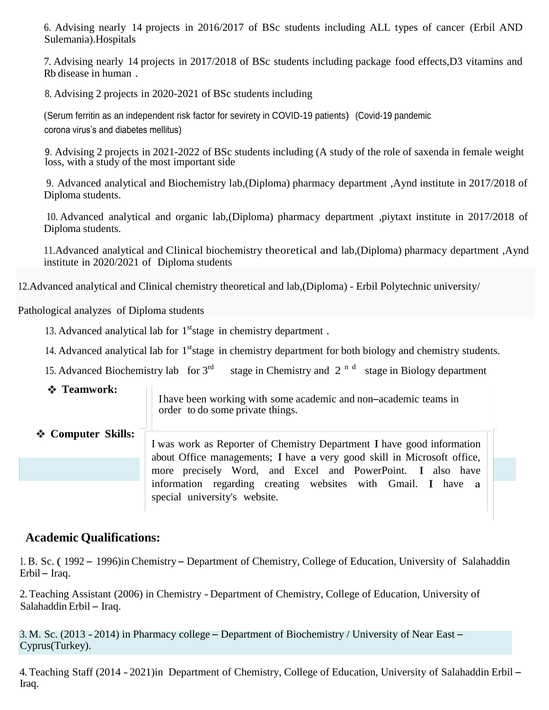6. Advising nearly 14 projects in 2016/2017 of BSc students including ALL types of cancer (Erbil AND Sulemania).Hospitals

7. Advising nearly 14 projects in 2017/2018 of BSc students including package food effects,D3 vitamins and Rb disease in human .

8. Advising 2 projects in 2020-2021 of BSc students including

(Serum ferritin as an independent risk factor for sevirety in COVID-19 patients) (Covid-19 pandemic corona virus's and diabetes mellitus)

9. Advising 2 projects in 2021-2022 of BSc students including (A study of the role of saxenda in female weight loss, with a study of the most important side

9. Advanced analytical and Biochemistry lab,(Diploma) pharmacy department ,Aynd institute in 2017/2018 of Diploma students.

10. Advanced analytical and organic lab,(Diploma) pharmacy department ,piytaxt institute in 2017/2018 of Diploma students.

11.Advanced analytical and Clinical biochemistry theoretical and lab,(Diploma) pharmacy department ,Aynd institute in 2020/2021 of Diploma students

12.Advanced analytical and Clinical chemistry theoretical and lab,(Diploma) - Erbil Polytechnic university/

Pathological analyzes of Diploma students

13. Advanced analytical lab for  $1<sup>st</sup>$  stage in chemistry department.

14. Advanced analytical lab for 1<sup>st</sup>stage in chemistry department for both biology and chemistry students.

15. Advanced Biochemistry lab for 3<sup>rd</sup> stage in Chemistry and  $2^{n d}$  stage in Biology department

**Teamwork:**

have been working with some academic and non–academic teams in order to do some private things.

**Computer Skills:**

I was work as Reporter of Chemistry Department I have good information about Office managements; I have a very good skill in Microsoft office, more precisely Word, and Excel and PowerPoint. I also have information regarding creating websites with Gmail. I have a special university's website.

## **Academic Qualifications:**

1. B. Sc. ( 1992 – 1996)in Chemistry – Department of Chemistry, College of Education, University of Salahaddin Erbil – Iraq.

2. Teaching Assistant (2006) in Chemistry - Department of Chemistry, College of Education, University of Salahaddin Erbil – Iraq.

3. M. Sc. (2013 - 2014) in Pharmacy college – Department of Biochemistry / University of Near East – Cyprus(Turkey).

4. Teaching Staff (2014 - 2021)in Department of Chemistry, College of Education, University of Salahaddin Erbil – Iraq.